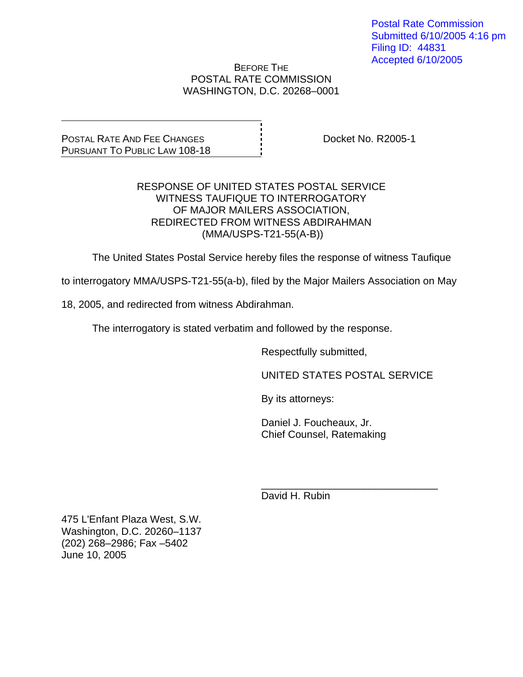Postal Rate Commission Submitted 6/10/2005 4:16 pm Filing ID: 44831 Accepted 6/10/2005

### BEFORE THE POSTAL RATE COMMISSION WASHINGTON, D.C. 20268–0001

POSTAL RATE AND FEE CHANGES PURSUANT TO PUBLIC LAW 108-18 Docket No. R2005-1

### RESPONSE OF UNITED STATES POSTAL SERVICE WITNESS TAUFIQUE TO INTERROGATORY OF MAJOR MAILERS ASSOCIATION, REDIRECTED FROM WITNESS ABDIRAHMAN (MMA/USPS-T21-55(A-B))

The United States Postal Service hereby files the response of witness Taufique

to interrogatory MMA/USPS-T21-55(a-b), filed by the Major Mailers Association on May

18, 2005, and redirected from witness Abdirahman.

The interrogatory is stated verbatim and followed by the response.

 $\frac{1}{\sqrt{1-\frac{1}{2}+\frac{1}{2}+\frac{1}{2}+\frac{1}{2}+\frac{1}{2}+\frac{1}{2}+\frac{1}{2}+\frac{1}{2}+\frac{1}{2}+\frac{1}{2}+\frac{1}{2}+\frac{1}{2}+\frac{1}{2}+\frac{1}{2}+\frac{1}{2}+\frac{1}{2}+\frac{1}{2}+\frac{1}{2}+\frac{1}{2}+\frac{1}{2}+\frac{1}{2}+\frac{1}{2}+\frac{1}{2}+\frac{1}{2}+\frac{1}{2}+\frac{1}{2}+\frac{1}{2}+\frac{1}{2}+\frac{1}{2}+\frac{1}{2}+\$ 

Respectfully submitted,

UNITED STATES POSTAL SERVICE

By its attorneys:

 Daniel J. Foucheaux, Jr. Chief Counsel, Ratemaking

David H. Rubin

475 L'Enfant Plaza West, S.W. Washington, D.C. 20260–1137 (202) 268–2986; Fax –5402 June 10, 2005